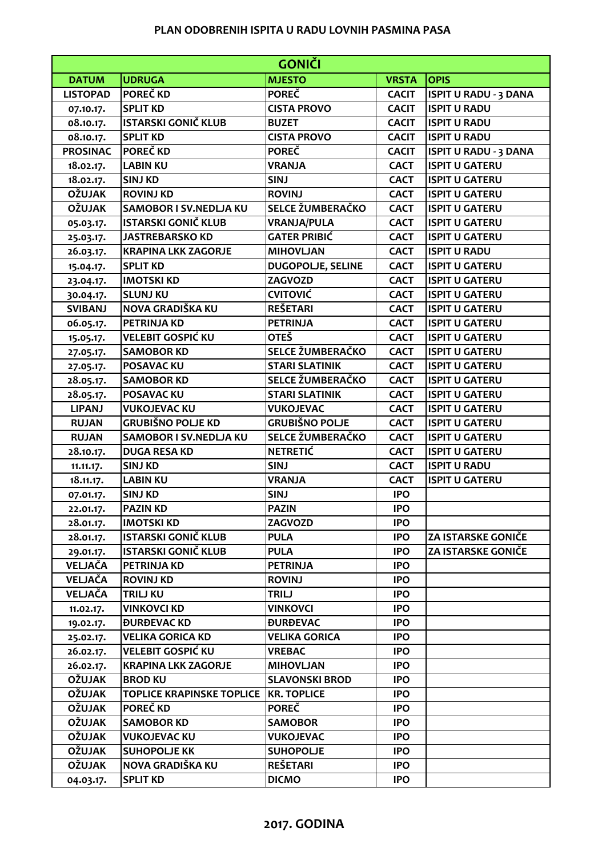## **PLAN ODOBRENIH ISPITA U RADU LOVNIH PASMINA PASA**

| <b>GONIČI</b>   |                                  |                               |              |                              |  |  |
|-----------------|----------------------------------|-------------------------------|--------------|------------------------------|--|--|
| <b>DATUM</b>    | <b>UDRUGA</b>                    | <b>MJESTO</b>                 | <b>VRSTA</b> | <b>OPIS</b>                  |  |  |
| <b>LISTOPAD</b> | POREČ KD                         | <b>POREČ</b>                  | <b>CACIT</b> | <b>ISPIT U RADU - 3 DANA</b> |  |  |
| 07.10.17.       | <b>SPLIT KD</b>                  | <b>CISTA PROVO</b>            | <b>CACIT</b> | <b>ISPIT U RADU</b>          |  |  |
| 08.10.17.       | <b>ISTARSKI GONIČ KLUB</b>       | <b>BUZET</b>                  | <b>CACIT</b> | <b>ISPIT U RADU</b>          |  |  |
| 08.10.17.       | <b>SPLIT KD</b>                  | <b>CISTA PROVO</b>            | <b>CACIT</b> | <b>ISPIT U RADU</b>          |  |  |
| <b>PROSINAC</b> | <b>POREČKD</b>                   | <b>POREČ</b>                  | <b>CACIT</b> | <b>ISPIT U RADU - 3 DANA</b> |  |  |
| 18.02.17.       | <b>LABIN KU</b>                  | <b>VRANJA</b>                 | <b>CACT</b>  | <b>ISPIT U GATERU</b>        |  |  |
| 18.02.17.       | <b>SINJ KD</b>                   | <b>SINJ</b>                   | <b>CACT</b>  | <b>ISPIT U GATERU</b>        |  |  |
| <b>OŽUJAK</b>   | <b>ROVINJ KD</b>                 | <b>ROVINJ</b>                 | <b>CACT</b>  | <b>ISPIT U GATERU</b>        |  |  |
| <b>OŽUJAK</b>   | <b>SAMOBOR I SV.NEDLJA KU</b>    | SELCE ŽUMBERAČKO              | <b>CACT</b>  | <b>ISPIT U GATERU</b>        |  |  |
| 05.03.17.       | <b>ISTARSKI GONIČ KLUB</b>       | <b>VRANJA/PULA</b>            | <b>CACT</b>  | <b>ISPIT U GATERU</b>        |  |  |
| 25.03.17.       | <b>JASTREBARSKO KD</b>           | <b>GATER PRIBIĆ</b>           | <b>CACT</b>  | <b>ISPIT U GATERU</b>        |  |  |
| 26.03.17.       | <b>KRAPINA LKK ZAGORJE</b>       | <b>MIHOVLJAN</b>              | <b>CACT</b>  | <b>ISPIT U RADU</b>          |  |  |
| 15.04.17.       | <b>SPLIT KD</b>                  | <b>DUGOPOLJE, SELINE</b>      | <b>CACT</b>  | <b>ISPIT U GATERU</b>        |  |  |
| 23.04.17.       | <b>IMOTSKI KD</b>                | ZAGVOZD                       | <b>CACT</b>  | <b>ISPIT U GATERU</b>        |  |  |
| 30.04.17.       | <b>SLUNJ KU</b>                  | <b>CVITOVIĆ</b>               | <b>CACT</b>  | <b>ISPIT U GATERU</b>        |  |  |
| <b>SVIBANJ</b>  | NOVA GRADIŠKA KU                 | <b>REŠETARI</b>               | <b>CACT</b>  | <b>ISPIT U GATERU</b>        |  |  |
| 06.05.17.       | <b>PETRINJA KD</b>               | <b>PETRINJA</b>               | <b>CACT</b>  | <b>ISPIT U GATERU</b>        |  |  |
| 15.05.17.       | <b>VELEBIT GOSPIĆ KU</b>         | <b>OTEŠ</b>                   | <b>CACT</b>  | <b>ISPIT U GATERU</b>        |  |  |
| 27.05.17.       | <b>SAMOBOR KD</b>                | SELCE ŽUMBERAČKO              | <b>CACT</b>  | <b>ISPIT U GATERU</b>        |  |  |
| 27.05.17.       | <b>POSAVAC KU</b>                | <b>STARI SLATINIK</b>         | <b>CACT</b>  | <b>ISPIT U GATERU</b>        |  |  |
| 28.05.17.       | <b>SAMOBOR KD</b>                | SELCE ŽUMBERAČKO              | <b>CACT</b>  | <b>ISPIT U GATERU</b>        |  |  |
| 28.05.17.       | <b>POSAVAC KU</b>                | <b>STARI SLATINIK</b>         | <b>CACT</b>  | <b>ISPIT U GATERU</b>        |  |  |
| <b>LIPANJ</b>   | <b>VUKOJEVAC KU</b>              | <b>VUKOJEVAC</b>              | <b>CACT</b>  | <b>ISPIT U GATERU</b>        |  |  |
| <b>RUJAN</b>    | <b>GRUBIŠNO POLJE KD</b>         | <b>GRUBIŠNO POLJE</b>         | <b>CACT</b>  | <b>ISPIT U GATERU</b>        |  |  |
| <b>RUJAN</b>    | <b>SAMOBOR I SV.NEDLJA KU</b>    | SELCE ŽUMBERAČKO              | <b>CACT</b>  | <b>ISPIT U GATERU</b>        |  |  |
| 28.10.17.       | <b>DUGA RESA KD</b>              | <b>NETRETIĆ</b>               | <b>CACT</b>  | <b>ISPIT U GATERU</b>        |  |  |
| 11.11.17.       | <b>SINJ KD</b>                   | <b>SINJ</b>                   | <b>CACT</b>  | <b>ISPIT U RADU</b>          |  |  |
| 18.11.17.       | <b>LABIN KU</b>                  | <b>VRANJA</b>                 | <b>CACT</b>  | <b>ISPIT U GATERU</b>        |  |  |
| 07.01.17.       | <b>SINJ KD</b>                   | <b>SINJ</b>                   | <b>IPO</b>   |                              |  |  |
| 22.01.17.       | <b>PAZIN KD</b>                  | <b>PAZIN</b>                  | <b>IPO</b>   |                              |  |  |
| 28.01.17.       | <b>IMOTSKI KD</b>                | ZAGVOZD                       | <b>IPO</b>   |                              |  |  |
| 28.01.17.       | <b>ISTARSKI GONIČ KLUB</b>       | <b>PULA</b>                   | <b>IPO</b>   | <b>ZA ISTARSKE GONIČE</b>    |  |  |
| 29.01.17.       | <b>ISTARSKI GONIČ KLUB</b>       | <b>PULA</b>                   | <b>IPO</b>   | <b>ZA ISTARSKE GONIČE</b>    |  |  |
| VELJAČA         | <b>PETRINJA KD</b>               | <b>PETRINJA</b>               | <b>IPO</b>   |                              |  |  |
| VELJAČA         | <b>ROVINJ KD</b>                 | <b>ROVINJ</b>                 | <b>IPO</b>   |                              |  |  |
| VELJAČA         | <b>TRILJ KU</b>                  | <b>TRILJ</b>                  | <b>IPO</b>   |                              |  |  |
| 11.02.17.       | <b>VINKOVCI KD</b>               | <b>VINKOVCI</b>               | <b>IPO</b>   |                              |  |  |
| 19.02.17.       | <b><i>ĐURĐEVAC KD</i></b>        | <b><i><u>DURDEVAC</u></i></b> | <b>IPO</b>   |                              |  |  |
| 25.02.17.       | <b>VELIKA GORICA KD</b>          | <b>VELIKA GORICA</b>          | <b>IPO</b>   |                              |  |  |
| 26.02.17.       | <b>VELEBIT GOSPIĆ KU</b>         | <b>VREBAC</b>                 | <b>IPO</b>   |                              |  |  |
| 26.02.17.       | <b>KRAPINA LKK ZAGORJE</b>       | <b>MIHOVLJAN</b>              | <b>IPO</b>   |                              |  |  |
| <b>OŽUJAK</b>   | <b>BROD KU</b>                   | <b>SLAVONSKI BROD</b>         | <b>IPO</b>   |                              |  |  |
| <b>OŽUJAK</b>   | <b>TOPLICE KRAPINSKE TOPLICE</b> | <b>KR. TOPLICE</b>            | <b>IPO</b>   |                              |  |  |
| <b>OŽUJAK</b>   | <b>POREČKD</b>                   | <b>POREČ</b>                  | <b>IPO</b>   |                              |  |  |
| <b>OŽUJAK</b>   | <b>SAMOBOR KD</b>                | <b>SAMOBOR</b>                | <b>IPO</b>   |                              |  |  |
| <b>OŽUJAK</b>   | <b>VUKOJEVAC KU</b>              | <b>VUKOJEVAC</b>              | <b>IPO</b>   |                              |  |  |
| <b>OŽUJAK</b>   | <b>SUHOPOLJE KK</b>              | <b>SUHOPOLJE</b>              | <b>IPO</b>   |                              |  |  |
| <b>OŽUJAK</b>   | NOVA GRADIŠKA KU                 | <b>REŠETARI</b>               | <b>IPO</b>   |                              |  |  |
| 04.03.17.       | <b>SPLIT KD</b>                  | <b>DICMO</b>                  | <b>IPO</b>   |                              |  |  |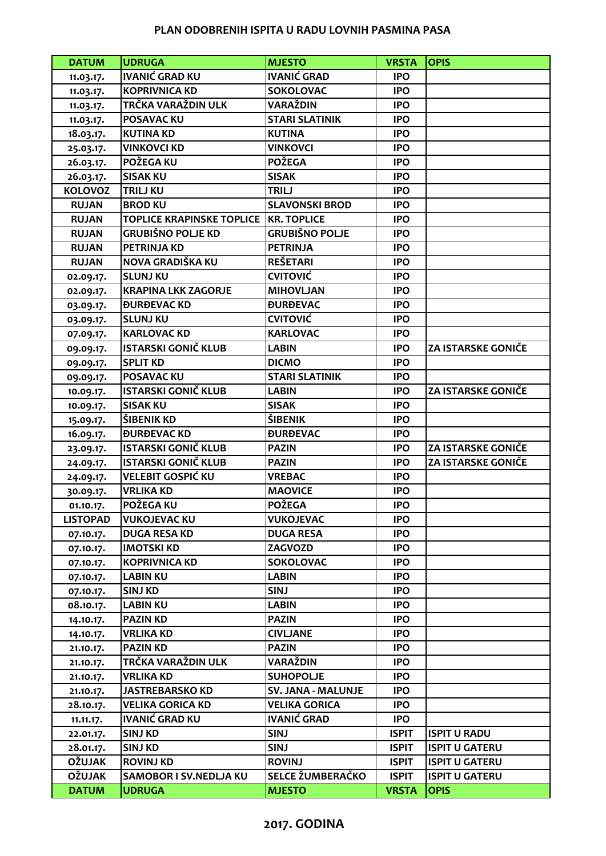## **PLAN ODOBRENIH ISPITA U RADU LOVNIH PASMINA PASA**

| <b>DATUM</b>    | <b>UDRUGA</b>                                  | <b>MJESTO</b>                 | <b>VRSTA</b> | <b>OPIS</b>               |
|-----------------|------------------------------------------------|-------------------------------|--------------|---------------------------|
| 11.03.17.       | <b>IVANIĆ GRAD KU</b>                          | <b>IVANIĆ GRAD</b>            | <b>IPO</b>   |                           |
| 11.03.17.       | <b>KOPRIVNICA KD</b>                           | <b>SOKOLOVAC</b>              | <b>IPO</b>   |                           |
| 11.03.17.       | TRČKA VARAŽDIN ULK                             | VARAŽDIN                      | <b>IPO</b>   |                           |
| 11.03.17.       | <b>POSAVAC KU</b>                              | <b>STARI SLATINIK</b>         | <b>IPO</b>   |                           |
| 18.03.17.       | <b>KUTINA KD</b>                               | <b>KUTINA</b>                 | <b>IPO</b>   |                           |
| 25.03.17.       | <b>VINKOVCI KD</b>                             | <b>VINKOVCI</b>               | <b>IPO</b>   |                           |
| 26.03.17.       | POŽEGA KU                                      | <b>POŽEGA</b>                 | <b>IPO</b>   |                           |
| 26.03.17.       | <b>SISAK KU</b>                                | <b>SISAK</b>                  | <b>IPO</b>   |                           |
| <b>KOLOVOZ</b>  | <b>TRILJ KU</b>                                | <b>TRILJ</b>                  | <b>IPO</b>   |                           |
| <b>RUJAN</b>    | <b>BROD KU</b>                                 | <b>SLAVONSKI BROD</b>         | <b>IPO</b>   |                           |
| <b>RUJAN</b>    | <b>TOPLICE KRAPINSKE TOPLICE   KR. TOPLICE</b> |                               | <b>IPO</b>   |                           |
| <b>RUJAN</b>    | <b>GRUBIŠNO POLJE KD</b>                       | <b>GRUBIŠNO POLJE</b>         | <b>IPO</b>   |                           |
| <b>RUJAN</b>    | <b>PETRINJA KD</b>                             | <b>PETRINJA</b>               | <b>IPO</b>   |                           |
| <b>RUJAN</b>    | NOVA GRADIŠKA KU                               | <b>REŠETARI</b>               | <b>IPO</b>   |                           |
| 02.09.17.       | <b>SLUNJ KU</b>                                | <b>CVITOVIĆ</b>               | <b>IPO</b>   |                           |
| 02.09.17.       | <b>KRAPINA LKK ZAGORJE</b>                     | <b>MIHOVLJAN</b>              | <b>IPO</b>   |                           |
| 03.09.17.       | <b><i>ĐURĐEVAC KD</i></b>                      | <b><i>DURDEVAC</i></b>        | <b>IPO</b>   |                           |
| 03.09.17.       | <b>SLUNJ KU</b>                                | <b>CVITOVIĆ</b>               | <b>IPO</b>   |                           |
| 07.09.17.       | <b>KARLOVAC KD</b>                             | <b>KARLOVAC</b>               | <b>IPO</b>   |                           |
| 09.09.17.       | <b>ISTARSKI GONIČ KLUB</b>                     | <b>LABIN</b>                  | <b>IPO</b>   | <b>ZA ISTARSKE GONIČE</b> |
| 09.09.17.       | <b>SPLIT KD</b>                                | <b>DICMO</b>                  | <b>IPO</b>   |                           |
| 09.09.17.       | <b>POSAVAC KU</b>                              | <b>STARI SLATINIK</b>         | <b>IPO</b>   |                           |
| 10.09.17.       | <b>ISTARSKI GONIČ KLUB</b>                     | <b>LABIN</b>                  | <b>IPO</b>   | <b>ZA ISTARSKE GONIČE</b> |
| 10.09.17.       | <b>SISAK KU</b>                                | <b>SISAK</b>                  | <b>IPO</b>   |                           |
| 15.09.17.       | ŠIBENIK KD                                     | ŠIBENIK                       | <b>IPO</b>   |                           |
| 16.09.17.       | <b><i>BURBEVACKD</i></b>                       | <b><i><u>DURDEVAC</u></i></b> | <b>IPO</b>   |                           |
| 23.09.17.       | <b>ISTARSKI GONIČ KLUB</b>                     | <b>PAZIN</b>                  | <b>IPO</b>   | <b>ZA ISTARSKE GONIČE</b> |
| 24.09.17.       | <b>ISTARSKI GONIČ KLUB</b>                     | <b>PAZIN</b>                  | <b>IPO</b>   | <b>ZA ISTARSKE GONIČE</b> |
| 24.09.17.       | <b>VELEBIT GOSPIĆ KU</b>                       | <b>VREBAC</b>                 | <b>IPO</b>   |                           |
| 30.09.17.       | <b>VRLIKA KD</b>                               | <b>MAOVICE</b>                | <b>IPO</b>   |                           |
| 01.10.17.       | POŽEGA KU                                      | <b>POŽEGA</b>                 | <b>IPO</b>   |                           |
| <b>LISTOPAD</b> | <b>VUKOJEVAC KU</b>                            | <b>VUKOJEVAC</b>              | <b>IPO</b>   |                           |
| 07.10.17.       | <b>DUGA RESA KD</b>                            | <b>DUGA RESA</b>              | <b>IPO</b>   |                           |
| 07.10.17.       | <b>IMOTSKI KD</b>                              | ZAGVOZD                       | <b>IPO</b>   |                           |
| 07.10.17.       | <b>KOPRIVNICA KD</b>                           | <b>SOKOLOVAC</b>              | <b>IPO</b>   |                           |
| 07.10.17.       | <b>LABIN KU</b>                                | <b>LABIN</b>                  | <b>IPO</b>   |                           |
| 07.10.17.       | <b>SINJ KD</b>                                 | <b>SINJ</b>                   | <b>IPO</b>   |                           |
| 08.10.17.       | <b>LABIN KU</b>                                | <b>LABIN</b>                  | <b>IPO</b>   |                           |
| 14.10.17.       | <b>PAZIN KD</b>                                | <b>PAZIN</b>                  | <b>IPO</b>   |                           |
| 14.10.17.       | <b>VRLIKA KD</b>                               | <b>CIVLJANE</b>               | <b>IPO</b>   |                           |
| 21.10.17.       | <b>PAZIN KD</b>                                | <b>PAZIN</b>                  | <b>IPO</b>   |                           |
| 21.10.17.       | TRČKA VARAŽDIN ULK                             | VARAŽDIN                      | <b>IPO</b>   |                           |
| 21.10.17.       | <b>VRLIKA KD</b>                               | <b>SUHOPOLJE</b>              | <b>IPO</b>   |                           |
| 21.10.17.       | <b>JASTREBARSKO KD</b>                         | <b>SV. JANA - MALUNJE</b>     | <b>IPO</b>   |                           |
| 28.10.17.       | <b>VELIKA GORICA KD</b>                        | <b>VELIKA GORICA</b>          | <b>IPO</b>   |                           |
| 11.11.17.       | <b>IVANIĆ GRAD KU</b>                          | <b>IVANIĆ GRAD</b>            | <b>IPO</b>   |                           |
| 22.01.17.       | <b>SINJ KD</b>                                 | <b>SINJ</b>                   | <b>ISPIT</b> | <b>ISPIT U RADU</b>       |
| 28.01.17.       | <b>SINJ KD</b>                                 | <b>SINJ</b>                   | <b>ISPIT</b> | <b>ISPIT U GATERU</b>     |
| <b>OŽUJAK</b>   | <b>ROVINJ KD</b>                               | <b>ROVINJ</b>                 | <b>ISPIT</b> | <b>ISPIT U GATERU</b>     |
| <b>OŽUJAK</b>   | SAMOBOR I SV.NEDLJA KU                         | SELCE ŽUMBERAČKO              | <b>ISPIT</b> | <b>ISPIT U GATERU</b>     |
| <b>DATUM</b>    | <b>UDRUGA</b>                                  | <b>MJESTO</b>                 | <b>VRSTA</b> | <b>OPIS</b>               |